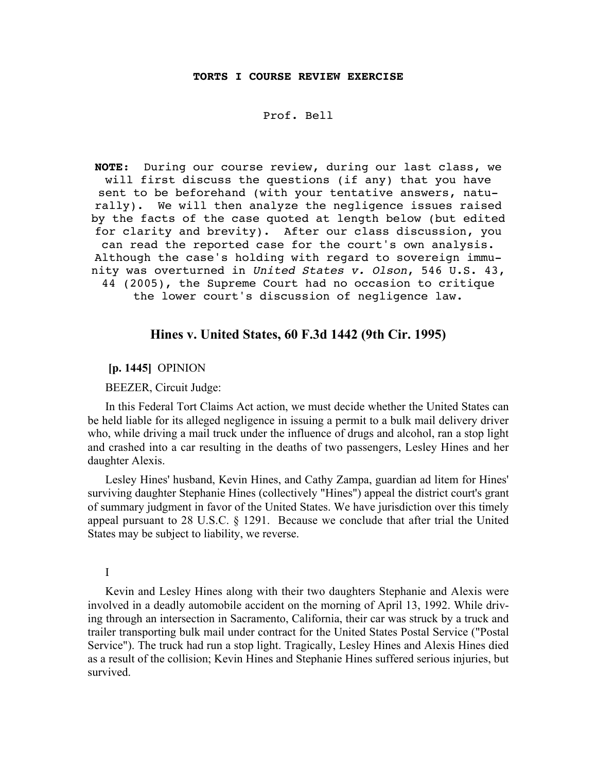#### **TORTS I COURSE REVIEW EXERCISE**

### Prof. Bell

**NOTE**: During our course review, during our last class, we will first discuss the questions (if any) that you have sent to be beforehand (with your tentative answers, naturally). We will then analyze the negligence issues raised by the facts of the case quoted at length below (but edited for clarity and brevity). After our class discussion, you can read the reported case for the court's own analysis. Although the case's holding with regard to sovereign immunity was overturned in United States v. Olson, 546 U.S. 43, 44 (2005), the Supreme Court had no occasion to critique the lower court's discussion of negligence law.

# Hines v. United States, 60 F.3d 1442 (9th Cir. 1995)

[p. 1445] OPINION

BEEZER, Circuit Judge:

In this Federal Tort Claims Act action, we must decide whether the United States can be held liable for its alleged negligence in issuing a permit to a bulk mail delivery driver who, while driving a mail truck under the influence of drugs and alcohol, ran a stop light and crashed into a car resulting in the deaths of two passengers, Lesley Hines and her daughter Alexis.

Lesley Hines' husband, Kevin Hines, and Cathy Zampa, guardian ad litem for Hines' surviving daughter Stephanie Hines (collectively "Hines") appeal the district court's grant of summary judgment in favor of the United States. We have jurisdiction over this timely appeal pursuant to 28 U.S.C. § 1291. Because we conclude that after trial the United States may be subject to liability, we reverse.

#### I

Kevin and Lesley Hines along with their two daughters Stephanie and Alexis were involved in a deadly automobile accident on the morning of April 13, 1992. While driving through an intersection in Sacramento, California, their car was struck by a truck and trailer transporting bulk mail under contract for the United States Postal Service ("Postal Service"). The truck had run a stop light. Tragically, Lesley Hines and Alexis Hines died as a result of the collision; Kevin Hines and Stephanie Hines suffered serious injuries, but survived.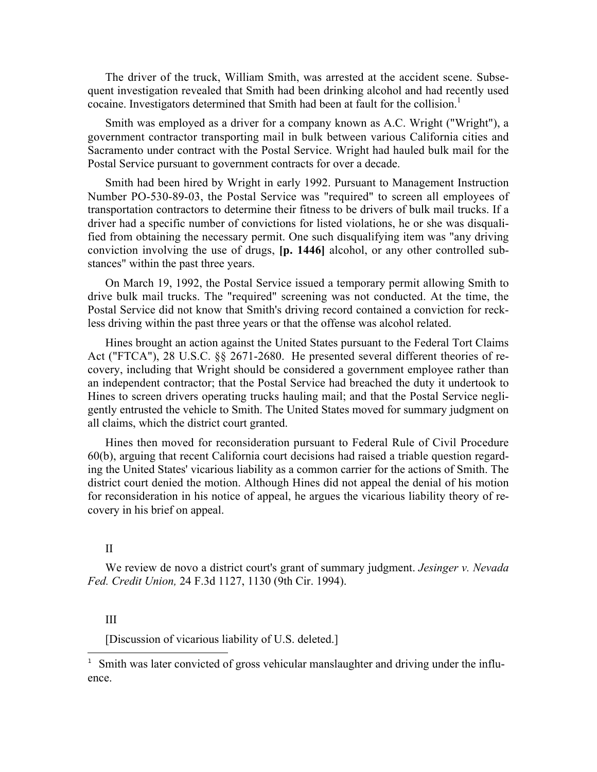The driver of the truck, William Smith, was arrested at the accident scene. Subsequent investigation revealed that Smith had been drinking alcohol and had recently used cocaine. Investigators determined that Smith had been at fault for the collision.<sup>1</sup>

Smith was employed as a driver for a company known as A.C. Wright ("Wright"), a government contractor transporting mail in bulk between various California cities and Sacramento under contract with the Postal Service. Wright had hauled bulk mail for the Postal Service pursuant to government contracts for over a decade.

Smith had been hired by Wright in early 1992. Pursuant to Management Instruction Number PO-530-89-03, the Postal Service was "required" to screen all employees of transportation contractors to determine their fitness to be drivers of bulk mail trucks. If a driver had a specific number of convictions for listed violations, he or she was disqualified from obtaining the necessary permit. One such disqualifying item was "any driving conviction involving the use of drugs, [p. 1446] alcohol, or any other controlled substances" within the past three years.

On March 19, 1992, the Postal Service issued a temporary permit allowing Smith to drive bulk mail trucks. The "required" screening was not conducted. At the time, the Postal Service did not know that Smith's driving record contained a conviction for reckless driving within the past three years or that the offense was alcohol related.

Hines brought an action against the United States pursuant to the Federal Tort Claims Act ("FTCA"), 28 U.S.C. §§ 2671-2680. He presented several different theories of recovery, including that Wright should be considered a government employee rather than an independent contractor; that the Postal Service had breached the duty it undertook to Hines to screen drivers operating trucks hauling mail; and that the Postal Service negligently entrusted the vehicle to Smith. The United States moved for summary judgment on all claims, which the district court granted.

Hines then moved for reconsideration pursuant to Federal Rule of Civil Procedure 60(b), arguing that recent California court decisions had raised a triable question regarding the United States' vicarious liability as a common carrier for the actions of Smith. The district court denied the motion. Although Hines did not appeal the denial of his motion for reconsideration in his notice of appeal, he argues the vicarious liability theory of recovery in his brief on appeal.

# II

We review de novo a district court's grant of summary judgment. *Jesinger v. Nevada Fed. Credit Union,* 24 F.3d 1127, 1130 (9th Cir. 1994).

## III

i<br>L

[Discussion of vicarious liability of U.S. deleted.]

<sup>&</sup>lt;sup>1</sup> Smith was later convicted of gross vehicular manslaughter and driving under the influence.